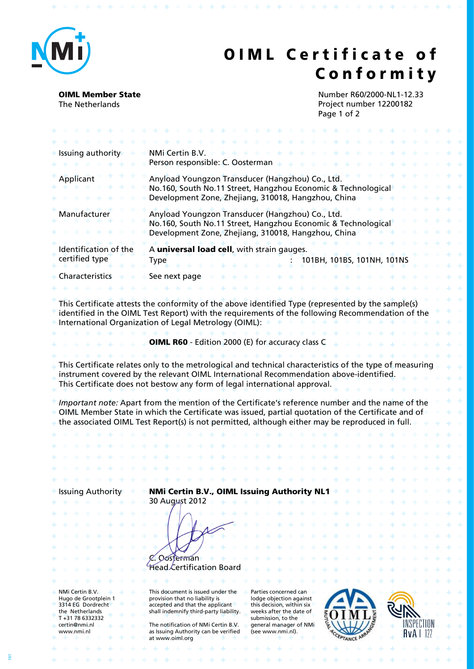

## **OIML Certificate of C o n f o r m i t y**

 $\Phi$ 

**OIML Member State** The Netherlands

\* \* \* \* \* \* \* \* \* \* \* \* \* \* \* \* \* \*

Number R60/2000-NL1-12.33 Project number 12200182 Page 1 of 2

\* \* \* \* \* \* \*

49.949.94

4.44

| NMi Certin B.V.<br>Person responsible: C. Oosterman                                                                                                                                                                                                                                                                                                                                                                       |                                                                                                                                                                            |
|---------------------------------------------------------------------------------------------------------------------------------------------------------------------------------------------------------------------------------------------------------------------------------------------------------------------------------------------------------------------------------------------------------------------------|----------------------------------------------------------------------------------------------------------------------------------------------------------------------------|
| Anyload Youngzon Transducer (Hangzhou) Co., Ltd.<br>No.160, South No.11 Street, Hangzhou Economic & Technological<br>Development Zone, Zhejiang, 310018, Hangzhou, China                                                                                                                                                                                                                                                  |                                                                                                                                                                            |
| Anyload Youngzon Transducer (Hangzhou) Co., Ltd.<br>No.160, South No.11 Street, Hangzhou Economic & Technological<br>Development Zone, Zhejiang, 310018, Hangzhou, China                                                                                                                                                                                                                                                  |                                                                                                                                                                            |
| A universal load cell, with strain gauges.<br>101BH, 101BS, 101NH, 101NS<br><b>Type</b>                                                                                                                                                                                                                                                                                                                                   |                                                                                                                                                                            |
| See next page                                                                                                                                                                                                                                                                                                                                                                                                             |                                                                                                                                                                            |
|                                                                                                                                                                                                                                                                                                                                                                                                                           |                                                                                                                                                                            |
| This Certificate attests the conformity of the above identified Type (represented by the sample(s)<br>identified in the OIML Test Report) with the requirements of the following Recommendation of the<br>International Organization of Legal Metrology (OIML):                                                                                                                                                           |                                                                                                                                                                            |
| <b>OIML R60</b> - Edition 2000 (E) for accuracy class C                                                                                                                                                                                                                                                                                                                                                                   |                                                                                                                                                                            |
|                                                                                                                                                                                                                                                                                                                                                                                                                           |                                                                                                                                                                            |
| instrument covered by the relevant OIML International Recommendation above-identified.<br>This Certificate does not bestow any form of legal international approval.                                                                                                                                                                                                                                                      |                                                                                                                                                                            |
| Important note: Apart from the mention of the Certificate's reference number and the name of the<br>OIML Member State in which the Certificate was issued, partial quotation of the Certificate and of<br>the associated OIML Test Report(s) is not permitted, although either may be reproduced in full.                                                                                                                 |                                                                                                                                                                            |
|                                                                                                                                                                                                                                                                                                                                                                                                                           |                                                                                                                                                                            |
|                                                                                                                                                                                                                                                                                                                                                                                                                           |                                                                                                                                                                            |
|                                                                                                                                                                                                                                                                                                                                                                                                                           |                                                                                                                                                                            |
|                                                                                                                                                                                                                                                                                                                                                                                                                           |                                                                                                                                                                            |
|                                                                                                                                                                                                                                                                                                                                                                                                                           |                                                                                                                                                                            |
| 30 August 2012                                                                                                                                                                                                                                                                                                                                                                                                            |                                                                                                                                                                            |
| Oosterman<br>Head Certification Board                                                                                                                                                                                                                                                                                                                                                                                     |                                                                                                                                                                            |
|                                                                                                                                                                                                                                                                                                                                                                                                                           |                                                                                                                                                                            |
| This document is issued under the<br>Parties concerned can<br>provision that no liability is<br>lodge objection against<br>accepted and that the applicant<br>this decision, within six<br>shall indemnify third-party liability.<br>weeks after the date of<br>submission, to the<br>The notification of NMi Certin B.V.<br>general manager of NMi<br>as Issuing Authority can be verified<br>(see www.nmi.nl).<br>RvA I |                                                                                                                                                                            |
|                                                                                                                                                                                                                                                                                                                                                                                                                           | This Certificate relates only to the metrological and technical characteristics of the type of measuring<br>NMi Certin B.V., OIML Issuing Authority NL1<br>at www.oiml.org |